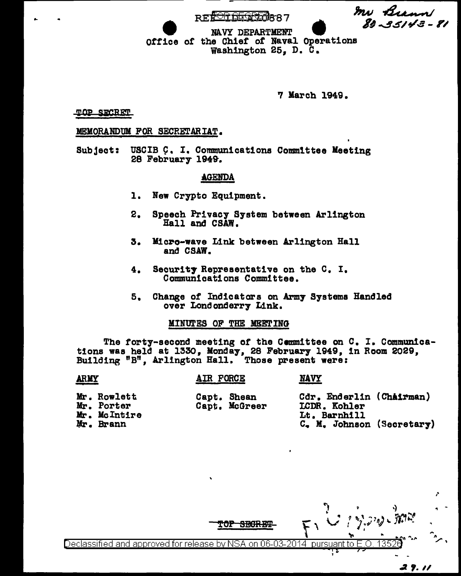In Brann REFORSEQSZO887  $89 - 95143 - 81$ NAVY DEPARTMENT Office of the Chief of Naval Operations

Washington 25, D. C.

**7 March 1949.** 

**NAVY** 

**TOP SECRET** 

#### MEMORANDUM FOR SECRETARIAT.

Subject: USCIB C. I. Communications Committee Meeting 28 February 1949.

### **AGENDA**

- 1. New Crypto Equipment.
- 2. Speech Privacy System between Arlington Hall and CSAW.
- Micro-wave Link between Arlington Hall 3. and CSAW.
- Security Representative on the C. I. 4. Communications Committee.
- 5. Change of Indicators on Army Systems Handled over Londonderry Link.

#### MINUTES OF THE MEETING

The forty-second meeting of the Committee on C. I. Communications was held at 1330, Monday, 28 February 1949, in Room 2029, Building "B", Arlington Hall. Those present were:

#### **ARMY**

## **AIR FORCE**

Capt. Shean Capt. McGreer Cdr. Enderlin (Chairman) LCDR. Kohler Lt. Barnhill C. M. Johnson (Secretary)

Mr. Rowlett Mr. Porter Mr. McIntire Mr. Brann

135 Declassified and approved for release by NSA on 06-03-2014 pursuant to E.O.

TOP

<del>19169.K</del>.K

29.11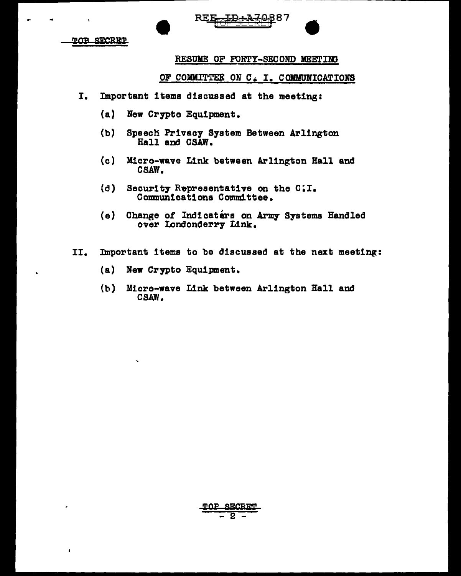

<u>TOR SECRET</u>

# RESUME OF FORTY-SECOND MEETING

# OF COMMITTEE ON C. I. COMMUNICATIONS

- I. Important items discussed at the meeting:
	- (a) New Crypto Equipment.
	- (b) Speech Privacy System Between Arlington Rail and CSAW.
	- (c) Micro-wave Link between Arlington Hall and CSAW.
	- (d) Security Representative on the C;I. Commun1cat1ons Committee.
	- (e) Change of Indicaters on Army Systems Handled over Londonderry Link.
- II. Important items to be discussed at the next meeting:
	- (a) New Crypto Equipment.
	- (b) Micro-wave Link between Arlington Hall and CSAW.

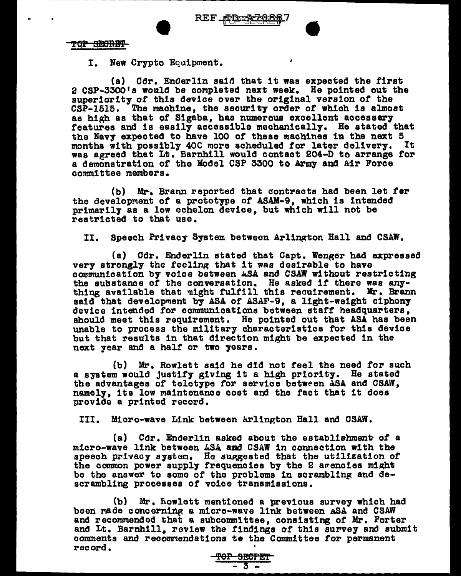TOP SECRET

I. New Crypto Equipment.

(a) Cdr. Enderlin said that it was expected the first 2 CSP-3300's would be completed next week. He pointed out the superiority of this device over the original version of the CSP-1515. The machine, the security order *ot* which is almost as high as that of S1gaba, has numerous excellent accessory features and is easily aeceasible mechanically. He stated that the Navy expected to have 100 of these machines in the next 5 months with possibly 40C more scheduled for later delivery. was agreed that Lt. Barnhill would contact 204-D to arrange for a demonstration of the Model CSP 3300 to Army and Air Force committee members.

(b) Mr-. Brann reported that dontracts had been let fer the development of a prototype of ASAM-9, which is intended primarily as a low echelon device, but which will not be restricted to that use.

II. Speech Privacy System between Arlington Hall and CSAW.

(a) Cdr. Enderlin stated that Capt. Wenger had expressed very strongly the feeling that it was desirable to have<br>communication by voice between ASA and CSAW without restricting the substance of the conversation. He asked if there was any-<br>thing available that  $\pi$ ight fulfill this reouirement. Mr. Brann said that development by ASA of ASAF-9, a light-weight ciphony device intended for communications between staff headquarters. should meet this requirement. He pointed out that ASA has been unable to process the military characteristics tor this device but that results in that direction might be expected in the next year and a half or two years.

(b) Mr. Rowlett said be did not feel the need for such a system would justify giving it a high priority. He stated the advantages of teletype for service between ASA and CSAW, namely, its low maintenance cost and the fact that it does provide a printed record.

III. Micro-wave Link between hrlinp;ton Hall and CSAW.

(a) Cdr. Enderlin asked about the establishment of a micro-wave link between  $ASA$  and CSAW in connection with the speech privacy system. He suggested that the utilization of the common power supply frequencies by the 2 avencies might be the answer to some of the problems in scrambling and descrambling processes of voice transmissions.

(b) Mr. nowlett mentioned a previous survey which had been made concerning a micro-wave link between ASA and CSAW and recommended that a subcommlttee, conaisting of Mr. Porter and Lt. Barnhill. review the findings of this survey and submit comments and recommendations to the Committee for permanent record.